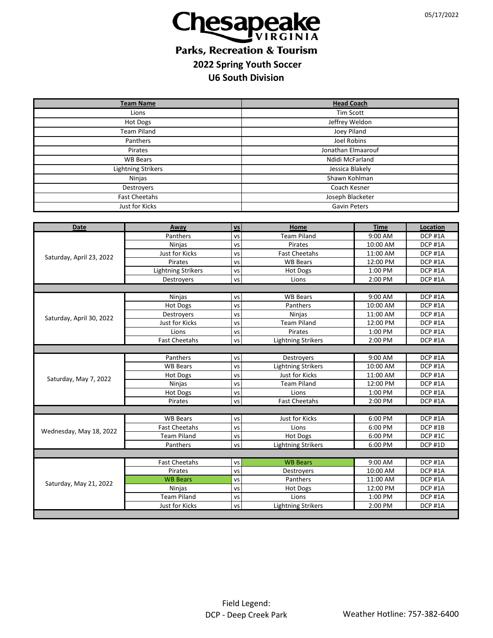

## **Parks, Recreation & Tourism 2022 Spring Youth Soccer U6 South Division**

| <b>Team Name</b>         |                               |                          | <b>Head Coach</b>         |             |                    |  |
|--------------------------|-------------------------------|--------------------------|---------------------------|-------------|--------------------|--|
| Lions                    |                               |                          | <b>Tim Scott</b>          |             |                    |  |
| <b>Hot Dogs</b>          |                               |                          | Jeffrey Weldon            |             |                    |  |
| <b>Team Piland</b>       |                               |                          | Joey Piland               |             |                    |  |
| Panthers                 |                               |                          | Joel Robins               |             |                    |  |
| Pirates                  |                               |                          | Jonathan Elmaarouf        |             |                    |  |
| <b>WB Bears</b>          |                               |                          | Ndidi McFarland           |             |                    |  |
| Lightning Strikers       |                               |                          | Jessica Blakely           |             |                    |  |
| <b>Ninjas</b>            |                               |                          | Shawn Kohlman             |             |                    |  |
| Destroyers               |                               |                          | Coach Kesner              |             |                    |  |
| <b>Fast Cheetahs</b>     |                               |                          | Joseph Blacketer          |             |                    |  |
| Just for Kicks           |                               |                          | <b>Gavin Peters</b>       |             |                    |  |
|                          |                               |                          |                           |             |                    |  |
| <b>Date</b>              | Away                          | <b>vs</b>                | Home                      | <b>Time</b> | <b>Location</b>    |  |
|                          | Panthers                      | <b>VS</b>                | <b>Team Piland</b>        | 9:00 AM     | DCP <sub>#1A</sub> |  |
|                          | Ninjas                        | vs                       | Pirates                   | 10:00 AM    | DCP #1A            |  |
| Saturday, April 23, 2022 | <b>Just for Kicks</b>         | vs                       | <b>Fast Cheetahs</b>      | 11:00 AM    | DCP #1A            |  |
|                          | Pirates                       | VS                       | <b>WB Bears</b>           | 12:00 PM    | DCP #1A            |  |
|                          | <b>Lightning Strikers</b>     | vs                       | Hot Dogs                  | 1:00 PM     | DCP #1A            |  |
|                          | Destroyers                    | VS                       | Lions                     | 2:00 PM     | DCP #1A            |  |
|                          |                               |                          |                           |             |                    |  |
|                          | Ninjas                        | VS                       | <b>WB Bears</b>           | $9:00$ AM   | DCP #1A            |  |
|                          | <b>Hot Dogs</b>               | vs                       | Panthers                  | 10:00 AM    | DCP #1A            |  |
| Saturday, April 30, 2022 | Destroyers                    | vs                       | Ninjas                    | 11:00 AM    | DCP #1A            |  |
|                          | Just for Kicks                | vs                       | <b>Team Piland</b>        | 12:00 PM    | DCP #1A            |  |
|                          | Lions<br><b>Fast Cheetahs</b> | vs                       | Pirates                   | 1:00 PM     | DCP #1A<br>DCP #1A |  |
|                          |                               | VS                       | <b>Lightning Strikers</b> | 2:00 PM     |                    |  |
|                          | Panthers                      | VS                       | Destroyers                | 9:00 AM     | DCP #1A            |  |
|                          | <b>WB Bears</b>               | vs                       | <b>Lightning Strikers</b> | 10:00 AM    | DCP #1A            |  |
|                          | <b>Hot Dogs</b>               | vs                       | Just for Kicks            | 11:00 AM    | DCP #1A            |  |
| Saturday, May 7, 2022    | Ninjas                        | vs                       | <b>Team Piland</b>        | 12:00 PM    | DCP #1A            |  |
|                          | <b>Hot Dogs</b>               | vs                       | Lions                     | 1:00 PM     | DCP #1A            |  |
|                          | Pirates                       | VS                       | <b>Fast Cheetahs</b>      | 2:00 PM     | DCP #1A            |  |
|                          |                               |                          |                           |             |                    |  |
|                          | <b>WB Bears</b>               | VS                       | Just for Kicks            | 6:00 PM     | DCP #1A            |  |
|                          | <b>Fast Cheetahs</b>          | $\overline{\mathsf{vs}}$ | Lions                     | 6:00 PM     | DCP #1B            |  |
| Wednesday, May 18, 2022  | <b>Team Piland</b>            | VS                       | Hot Dogs                  | 6:00 PM     | DCP #1C            |  |
|                          | Panthers                      | VS                       | <b>Lightning Strikers</b> | 6:00 PM     | DCP #1D            |  |
|                          |                               |                          |                           |             |                    |  |
| Saturday, May 21, 2022   | <b>Fast Cheetahs</b>          | VS                       | <b>WB Bears</b>           | 9:00 AM     | DCP #1A            |  |
|                          | Pirates                       | vs                       | Destroyers                | 10:00 AM    | DCP #1A            |  |
|                          | <b>WB Bears</b>               | vs                       | Panthers                  | 11:00 AM    | DCP #1A            |  |
|                          | Ninjas                        | vs                       | <b>Hot Dogs</b>           | 12:00 PM    | DCP #1A            |  |
|                          | <b>Team Piland</b>            | VS                       | Lions                     | 1:00 PM     | DCP #1A            |  |
|                          | <b>Just for Kicks</b>         | <b>VS</b>                | <b>Lightning Strikers</b> | 2:00 PM     | DCP #1A            |  |